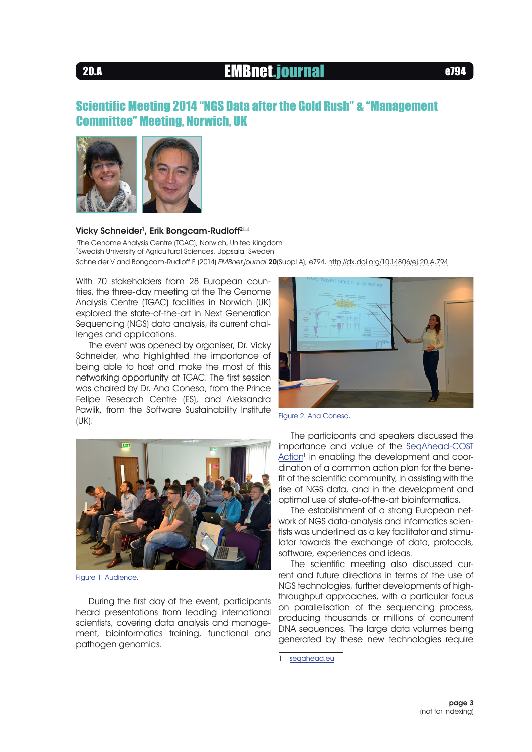## 20.A EMBnet.journal e794

#### Scientific Meeting 2014 "NGS Data after the Gold Rush" & "Management Committee" Meeting, Norwich, UK



#### Vicky Schneider<sup>1</sup>, Erik Bongcam-Rudloff $^{2\boxtimes}$

1 The Genome Analysis Centre (TGAC), Norwich, United Kingdom 2 Swedish University of Agricultural Sciences, Uppsala, Sweden Schneider V and Bongcam-Rudloff E (2014) EMBnet.journal 20(Suppl A), e794. <http://dx.doi.org/10.14806/ej.20.A.794>

With 70 stakeholders from 28 European countries, the three-day meeting at the The Genome Analysis Centre (TGAC) facilities in Norwich (UK) explored the state-of-the-art in Next Generation Sequencing (NGS) data analysis, its current challenges and applications.

The event was opened by organiser, Dr. Vicky Schneider, who highlighted the importance of being able to host and make the most of this networking opportunity at TGAC. The first session was chaired by Dr. Ana Conesa, from the Prince Felipe Research Centre (ES), and Aleksandra Pawlik, from the Software Sustainability Institute (UK).



Figure 1. Audience.

During the first day of the event, participants heard presentations from leading international scientists, covering data analysis and management, bioinformatics training, functional and pathogen genomics.



Figure 2. Ana Conesa.

The participants and speakers discussed the importance and value of the [SeqAhead-COST](http://www.seqahead.eu/) [Action](http://www.seqahead.eu/)<sup>1</sup> in enabling the development and coordination of a common action plan for the benefit of the scientific community, in assisting with the rise of NGS data, and in the development and optimal use of state-of-the-art bioinformatics.

The establishment of a strong European network of NGS data-analysis and informatics scientists was underlined as a key facilitator and stimulator towards the exchange of data, protocols, software, experiences and ideas.

The scientific meeting also discussed current and future directions in terms of the use of NGS technologies, further developments of highthroughput approaches, with a particular focus on parallelisation of the sequencing process, producing thousands or millions of concurrent DNA sequences. The large data volumes being generated by these new technologies require

<sup>1</sup> [seqahead.eu](http://www.seqahead.eu/)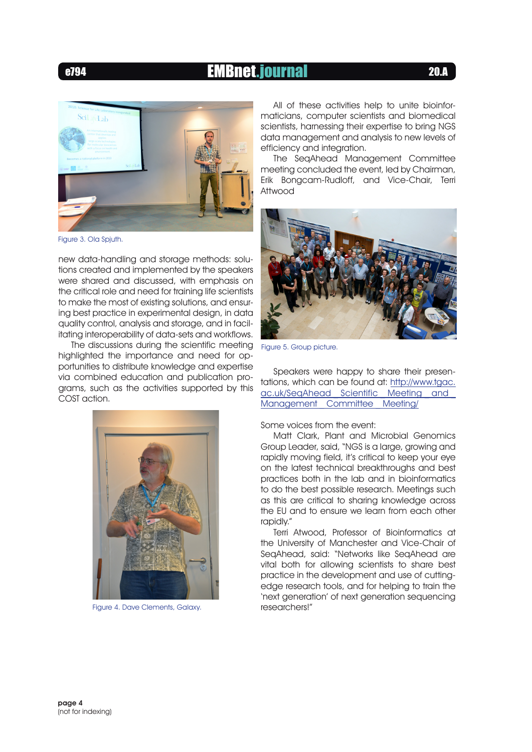e794 EMBnet.journal 20.A



Figure 3. Ola Spjuth.

new data-handling and storage methods: solutions created and implemented by the speakers were shared and discussed, with emphasis on the critical role and need for training life scientists to make the most of existing solutions, and ensuring best practice in experimental design, in data quality control, analysis and storage, and in facilitating interoperability of data-sets and workflows.

The discussions during the scientific meeting highlighted the importance and need for opportunities to distribute knowledge and expertise via combined education and publication programs, such as the activities supported by this COST action.



Figure 4. Dave Clements, Galaxy.

All of these activities help to unite bioinformaticians, computer scientists and biomedical scientists, harnessing their expertise to bring NGS data management and analysis to new levels of efficiency and integration.

The SeqAhead Management Committee meeting concluded the event, led by Chairman, Erik Bongcam-Rudloff, and Vice-Chair, Terri Attwood



Figure 5. Group picture.

Speakers were happy to share their presentations, which can be found at: [http://www.tgac.](http://www.tgac.ac.uk/SeqAhead_Scientific_Meeting_and_Management_Committee_Meeting/) ac.uk/SeqAhead Scientific Meeting and Management Committee Meeting/

#### Some voices from the event:

Matt Clark, Plant and Microbial Genomics Group Leader, said, "NGS is a large, growing and rapidly moving field, it's critical to keep your eye on the latest technical breakthroughs and best practices both in the lab and in bioinformatics to do the best possible research. Meetings such as this are critical to sharing knowledge across the EU and to ensure we learn from each other rapidly."

Terri Atwood, Professor of Bioinformatics at the University of Manchester and Vice-Chair of SeqAhead, said: "Networks like SeqAhead are vital both for allowing scientists to share best practice in the development and use of cuttingedge research tools, and for helping to train the 'next generation' of next generation sequencing researchers!"